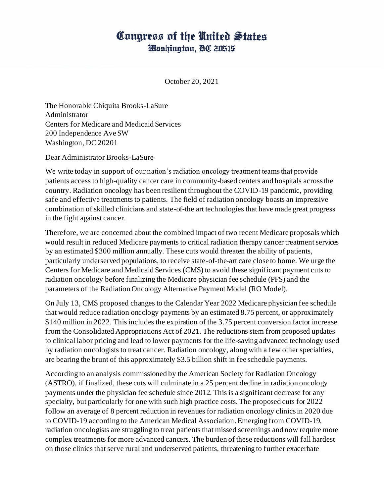## Congress of the United States Washington, DC 20515

October 20, 2021

The Honorable Chiquita Brooks-LaSure Administrator Centers for Medicare and Medicaid Services 200 Independence Ave SW Washington, DC 20201

Dear Administrator Brooks-LaSure-

We write today in support of our nation's radiation oncology treatment teams that provide patients access to high-quality cancer care in community-based centers and hospitals across the country. Radiation oncology has been resilient throughout the COVID-19 pandemic, providing safe and effective treatments to patients. The field of radiation oncology boasts an impressive combination of skilled clinicians and state-of-the art technologies that have made great progress in the fight against cancer.

Therefore, we are concerned about the combined impact of two recent Medicare proposals which would result in reduced Medicare payments to critical radiation therapy cancer treatment services by an estimated \$300 million annually. These cuts would threaten the ability of patients, particularly underserved populations, to receive state-of-the-art care close to home. We urge the Centers for Medicare and Medicaid Services (CMS) to avoid these significant payment cuts to radiation oncology before finalizing the Medicare physician fee schedule (PFS) and the parameters of the Radiation Oncology Alternative Payment Model (RO Model).

On July 13, CMS proposed changes to the Calendar Year 2022 Medicare physician fee schedule that would reduce radiation oncology payments by an estimated 8.75 percent, or approximately \$140 million in 2022. This includes the expiration of the 3.75 percent conversion factor increase from the Consolidated Appropriations Act of 2021. The reductions stem from proposed updates to clinical labor pricing and lead to lower payments for the life-saving advanced technology used by radiation oncologists to treat cancer. Radiation oncology, along with a few other specialties, are bearing the brunt of this approximately \$3.5 billion shift in fee schedule payments.

According to an analysis commissioned by the American Society for Radiation Oncology (ASTRO), if finalized, these cuts will culminate in a 25 percent decline in radiation oncology payments under the physician fee schedule since 2012. This is a significant decrease for any specialty, but particularly for one with such high practice costs. The proposed cuts for 2022 follow an average of 8 percent reduction in revenues for radiation oncology clinics in 2020 due to COVID-19 according to the American Medical Association. Emerging from COVID-19, radiation oncologists are struggling to treat patients that missed screenings and now require more complex treatments for more advanced cancers. The burden of these reductions will fall hardest on those clinics that serve rural and underserved patients, threatening to further exacerbate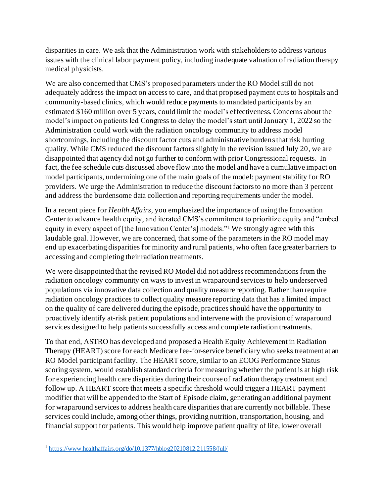disparities in care. We ask that the Administration work with stakeholders to address various issues with the clinical labor payment policy, including inadequate valuation of radiation therapy medical physicists.

We are also concerned that CMS's proposed parameters under the RO Model still do not adequately address the impact on access to care, and that proposed payment cuts to hospitals and community-based clinics, which would reduce payments to mandated participants by an estimated \$160 million over 5 years, could limit the model's effectiveness. Concerns about the model's impact on patients led Congress to delay the model's start until January 1, 2022 so the Administration could work with the radiation oncology community to address model shortcomings, including the discount factor cuts and administrative burdensthat risk hurting quality. While CMS reduced the discount factors slightly in the revision issued July 20, we are disappointed that agency did not go further to conform with prior Congressional requests. In fact, the fee schedule cuts discussed above flow into the model and have a cumulative impact on model participants, undermining one of the main goals of the model: payment stability for RO providers. We urge the Administration to reduce the discount factors to no more than 3 percent and address the burdensome data collection and reporting requirements under the model.

In a recent piece for *Health Affairs,* you emphasized the importance of using the Innovation Center to advance health equity, and iterated CMS's commitment to prioritize equity and "embed equity in every aspect of [the Innovation Center's] models."<sup>1</sup> We strongly agree with this laudable goal. However, we are concerned, that some of the parameters in the RO model may end up exacerbating disparities for minority and rural patients, who often face greater barriers to accessing and completing their radiation treatments.

We were disappointed that the revised RO Model did not address recommendations from the radiation oncology community on ways to invest in wraparound services to help underserved populations via innovative data collection and quality measure reporting. Rather than require radiation oncology practices to collect quality measure reporting data that has a limited impact on the quality of care delivered during the episode, practices should have the opportunity to proactively identify at-risk patient populations and intervene with the provision of wraparound services designed to help patients successfully access and complete radiation treatments.

To that end, ASTRO has developed and proposed a Health Equity Achievement in Radiation Therapy (HEART) score for each Medicare fee-for-service beneficiary who seeks treatment at an RO Model participant facility. The HEART score, similar to an ECOG Performance Status scoring system, would establish standard criteria for measuring whether the patient is at high risk for experiencing health care disparities during their course of radiation therapy treatment and follow up. A HEART score that meets a specific threshold would trigger a HEART payment modifier that will be appended to the Start of Episode claim, generating an additional payment for wraparound services to address health care disparities that are currently not billable. These services could include, among other things, providing nutrition, transportation, housing, and financial support for patients. This would help improve patient quality of life, lower overall

<sup>&</sup>lt;sup>1</sup><https://www.healthaffairs.org/do/10.1377/hblog20210812.211558/full/>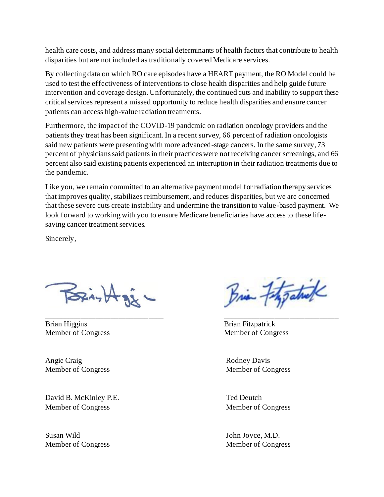health care costs, and address many social determinants of health factors that contribute to health disparities but are not included as traditionally covered Medicare services.

By collecting data on which RO care episodes have a HEART payment, the RO Model could be used to test the effectiveness of interventions to close health disparities and help guide future intervention and coverage design. Unfortunately, the continued cuts and inability to support these critical services represent a missed opportunity to reduce health disparities and ensure cancer patients can access high-value radiation treatments.

Furthermore, the impact of the COVID-19 pandemic on radiation oncology providers and the patients they treat has been significant. In a recent survey, 66 percent of radiation oncologists said new patients were presenting with more advanced-stage cancers. In the same survey, 73 percent of physicians said patients in their practices were not receiving cancer screenings, and 66 percent also said existing patients experienced an interruption in their radiation treatments due to the pandemic.

Like you, we remain committed to an alternative payment model for radiation therapy services that improves quality, stabilizes reimbursement, and reduces disparities, but we are concerned that these severe cuts create instability and undermine the transition to value-based payment. We look forward to working with you to ensure Medicare beneficiaries have access to these lifesaving cancer treatment services.

\_\_\_\_\_\_\_\_\_\_\_\_\_\_\_\_\_\_\_\_\_\_\_\_\_\_\_\_\_\_\_ \_\_\_\_\_\_\_\_\_\_\_\_\_\_\_\_\_\_\_\_\_\_\_\_\_\_\_\_\_\_

Sincerely,

 $\sum_i A_i$ 

Brian Higgins Brian Fitzpatrick Member of Congress Member of Congress

Angie Craig Rodney Davis

David B. McKinley P.E. Ted Deutch Member of Congress Member of Congress

Susan Wild John Joyce, M.D.

Brian Fitzgatul

Member of Congress Member of Congress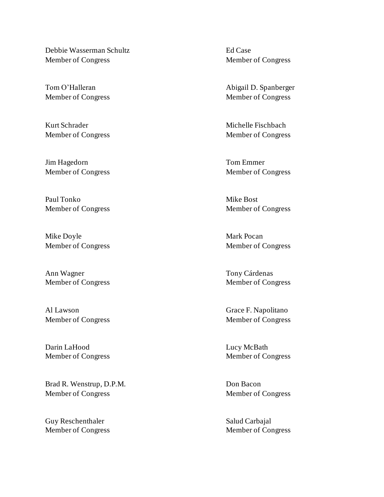Debbie Wasserman Schultz Ed Case Member of Congress Member of Congress

Kurt Schrader Michelle Fischbach

Jim Hagedorn Tom Emmer

Paul Tonko Mike Bost

Mike Doyle **Mark Pocan** Member of Congress Member of Congress

Ann Wagner Tony Cárdenas

Al Lawson Grace F. Napolitano Member of Congress Member of Congress

Darin LaHood Lucy McBath

Brad R. Wenstrup, D.P.M. Don Bacon Member of Congress Member of Congress

Guy Reschenthaler Salud Carbajal

Tom O'Halleran **Abigail D. Spanberger** Abigail D. Spanberger Member of Congress Member of Congress

Member of Congress Member of Congress

Member of Congress Member of Congress

Member of Congress Member of Congress

Member of Congress Member of Congress

Member of Congress Member of Congress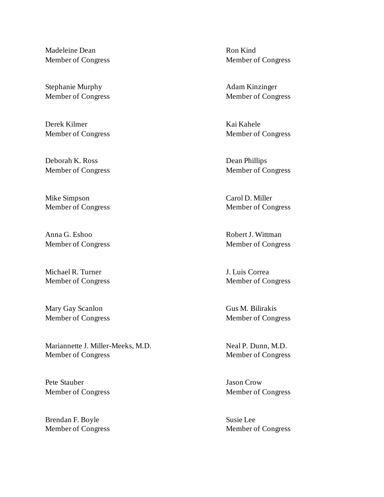Madeleine Dean Ron Kind

Stephanie Murphy **Adam Kinzinger** Adam Kinzinger

Derek Kilmer Kai Kahele

Deborah K. Ross Dean Phillips Member of Congress Member of Congress

Mike Simpson Carol D. Miller Member of Congress Member of Congress

Anna G. Eshoo Robert J. Wittman Member of Congress Member of Congress

Michael R. Turner J. Luis Correa

Mary Gay Scanlon Gus M. Bilirakis Member of Congress Member of Congress

Mariannette J. Miller-Meeks, M.D. Neal P. Dunn, M.D. Member of Congress Member of Congress

Pete Stauber Jason Crow Member of Congress Member of Congress

Brendan F. Boyle Susie Lee

Member of Congress Member of Congress

Member of Congress Member of Congress

Member of Congress Member of Congress

Member of Congress Member of Congress